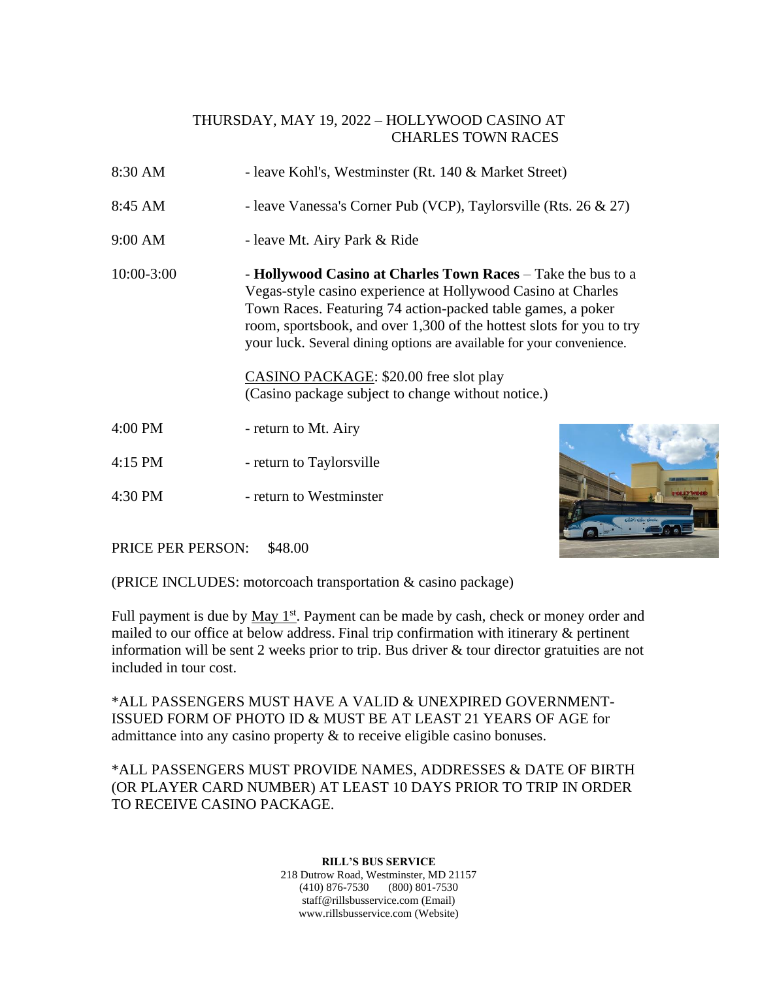## THURSDAY, MAY 19, 2022 – HOLLYWOOD CASINO AT CHARLES TOWN RACES

- 8:30 AM leave Kohl's, Westminster (Rt. 140 & Market Street)
- 8:45 AM leave Vanessa's Corner Pub (VCP), Taylorsville (Rts. 26 & 27)
- 9:00 AM leave Mt. Airy Park & Ride
- 10:00-3:00 **Hollywood Casino at Charles Town Races** Take the bus to a Vegas-style casino experience at Hollywood Casino at Charles Town Races. Featuring 74 action-packed table games, a poker room, sportsbook, and over 1,300 of the hottest slots for you to try your luck. Several dining options are available for your convenience.

CASINO PACKAGE: \$20.00 free slot play (Casino package subject to change without notice.)

- 4:00 PM return to Mt. Airy
- 4:15 PM return to Taylorsville
- 4:30 PM return to Westminster



PRICE PER PERSON: \$48.00

(PRICE INCLUDES: motorcoach transportation & casino package)

Full payment is due by May 1<sup>st</sup>. Payment can be made by cash, check or money order and mailed to our office at below address. Final trip confirmation with itinerary & pertinent information will be sent 2 weeks prior to trip. Bus driver  $\&$  tour director gratuities are not included in tour cost.

\*ALL PASSENGERS MUST HAVE A VALID & UNEXPIRED GOVERNMENT-ISSUED FORM OF PHOTO ID & MUST BE AT LEAST 21 YEARS OF AGE for admittance into any casino property & to receive eligible casino bonuses.

\*ALL PASSENGERS MUST PROVIDE NAMES, ADDRESSES & DATE OF BIRTH (OR PLAYER CARD NUMBER) AT LEAST 10 DAYS PRIOR TO TRIP IN ORDER TO RECEIVE CASINO PACKAGE.

> 218 Dutrow Road, Westminster, MD 21157 (410) 876-7530 (800) 801-7530 staff@rillsbusservice.com (Email) www.rillsbusservice.com (Website)

## **RILL'S BUS SERVICE**